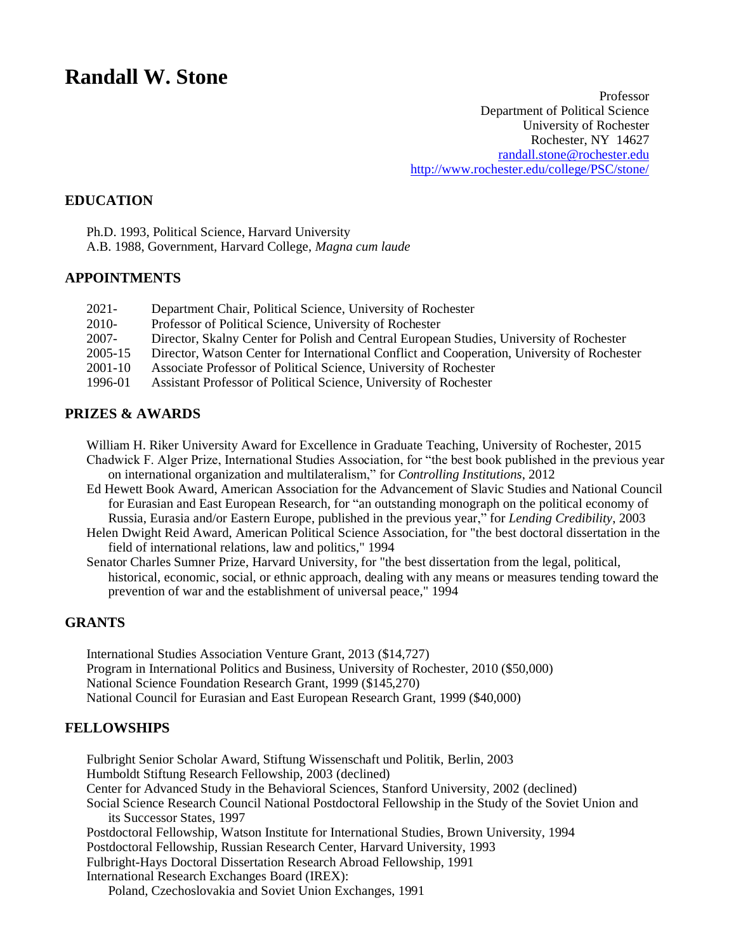# **Randall W. Stone**

Professor Department of Political Science University of Rochester Rochester, NY 14627 [randall.stone@rochester.edu](mailto:stnr@troi.cc.rochester.edu) <http://www.rochester.edu/college/PSC/stone/>

#### **EDUCATION**

Ph.D. 1993, Political Science, Harvard University A.B. 1988, Government, Harvard College, *Magna cum laude*

## **APPOINTMENTS**

| $2021 -$ | Department Chair, Political Science, University of Rochester                                |
|----------|---------------------------------------------------------------------------------------------|
| 2010-    | Professor of Political Science, University of Rochester                                     |
| 2007-    | Director, Skalny Center for Polish and Central European Studies, University of Rochester    |
| 2005-15  | Director, Watson Center for International Conflict and Cooperation, University of Rochester |
| 2001-10  | Associate Professor of Political Science, University of Rochester                           |
| 1996-01  | Assistant Professor of Political Science, University of Rochester                           |

#### **PRIZES & AWARDS**

William H. Riker University Award for Excellence in Graduate Teaching, University of Rochester, 2015 Chadwick F. Alger Prize, International Studies Association, for "the best book published in the previous year on international organization and multilateralism," for *Controlling Institutions*, 2012

- Ed Hewett Book Award, American Association for the Advancement of Slavic Studies and National Council for Eurasian and East European Research, for "an outstanding monograph on the political economy of Russia, Eurasia and/or Eastern Europe, published in the previous year," for *Lending Credibility*, 2003
- Helen Dwight Reid Award, American Political Science Association, for "the best doctoral dissertation in the field of international relations, law and politics," 1994
- Senator Charles Sumner Prize, Harvard University, for "the best dissertation from the legal, political, historical, economic, social, or ethnic approach, dealing with any means or measures tending toward the prevention of war and the establishment of universal peace," 1994

#### **GRANTS**

International Studies Association Venture Grant, 2013 (\$14,727) Program in International Politics and Business, University of Rochester, 2010 (\$50,000) National Science Foundation Research Grant, 1999 (\$145,270) National Council for Eurasian and East European Research Grant, 1999 (\$40,000)

## **FELLOWSHIPS**

Fulbright Senior Scholar Award, Stiftung Wissenschaft und Politik, Berlin, 2003 Humboldt Stiftung Research Fellowship, 2003 (declined) Center for Advanced Study in the Behavioral Sciences, Stanford University, 2002 (declined) Social Science Research Council National Postdoctoral Fellowship in the Study of the Soviet Union and its Successor States, 1997 Postdoctoral Fellowship, Watson Institute for International Studies, Brown University, 1994 Postdoctoral Fellowship, Russian Research Center, Harvard University, 1993 Fulbright-Hays Doctoral Dissertation Research Abroad Fellowship, 1991 International Research Exchanges Board (IREX):

Poland, Czechoslovakia and Soviet Union Exchanges, 1991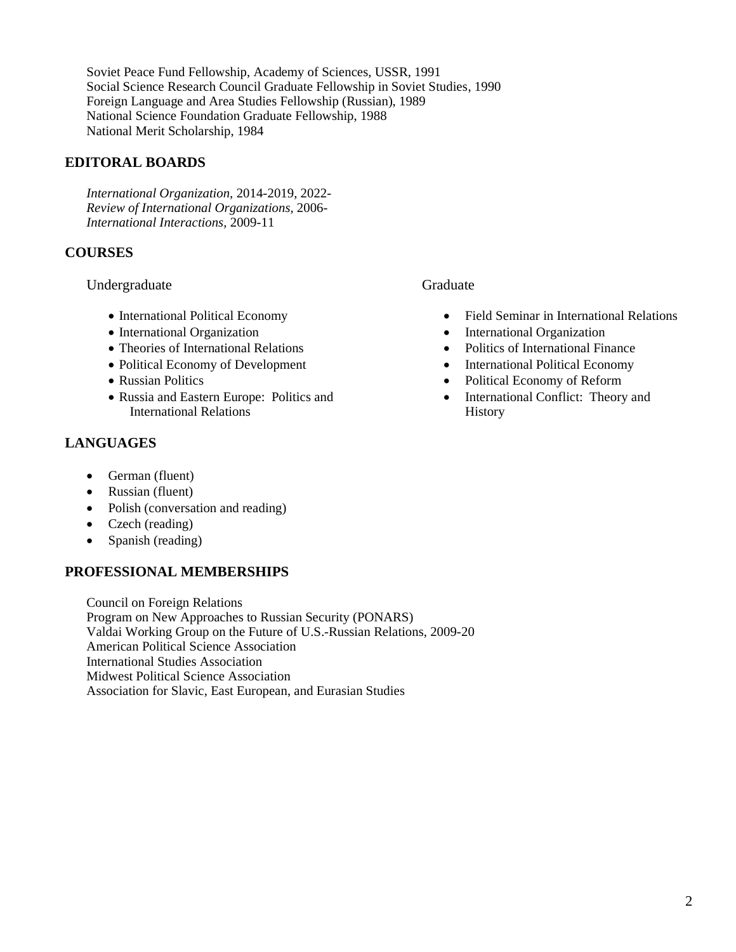Soviet Peace Fund Fellowship, Academy of Sciences, USSR, 1991 Social Science Research Council Graduate Fellowship in Soviet Studies, 1990 Foreign Language and Area Studies Fellowship (Russian), 1989 National Science Foundation Graduate Fellowship, 1988 National Merit Scholarship, 1984

# **EDITORAL BOARDS**

*International Organization,* 2014-2019, 2022- *Review of International Organizations,* 2006- *International Interactions,* 2009-11

# **COURSES**

# Undergraduate

- International Political Economy
- International Organization
- Theories of International Relations
- Political Economy of Development
- Russian Politics
- Russia and Eastern Europe: Politics and International Relations

# **LANGUAGES**

- German (fluent)
- Russian (fluent)
- Polish (conversation and reading)
- Czech (reading)
- Spanish (reading)

# **PROFESSIONAL MEMBERSHIPS**

Council on Foreign Relations Program on New Approaches to Russian Security (PONARS) Valdai Working Group on the Future of U.S.-Russian Relations, 2009-20 American Political Science Association International Studies Association Midwest Political Science Association Association for Slavic, East European, and Eurasian Studies

# Graduate

- Field Seminar in International Relations
- International Organization
- Politics of International Finance
- International Political Economy
- Political Economy of Reform
- International Conflict: Theory and **History**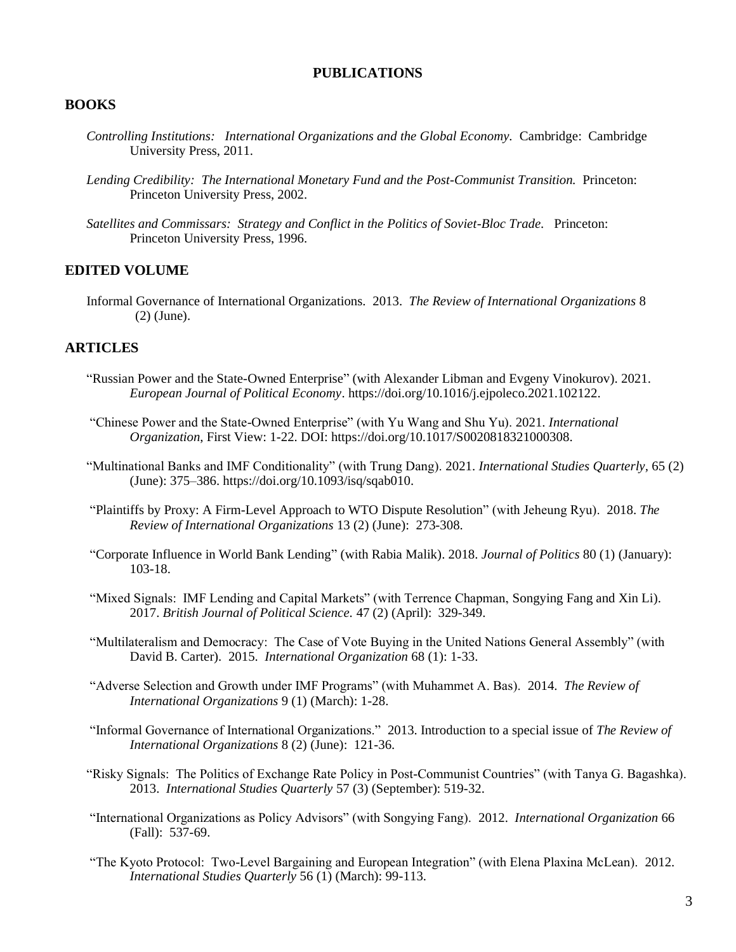## **PUBLICATIONS**

#### **BOOKS**

- *Controlling Institutions: International Organizations and the Global Economy.* Cambridge: Cambridge University Press, 2011.
- *Lending Credibility: The International Monetary Fund and the Post-Communist Transition.* Princeton: Princeton University Press, 2002.
- *Satellites and Commissars: Strategy and Conflict in the Politics of Soviet-Bloc Trade.* Princeton: Princeton University Press, 1996.

#### **EDITED VOLUME**

Informal Governance of International Organizations. 2013. *The Review of International Organizations* 8 (2) (June).

#### **ARTICLES**

- "Russian Power and the State-Owned Enterprise" (with Alexander Libman and Evgeny Vinokurov). 2021. *European Journal of Political Economy*. https://doi.org/10.1016/j.ejpoleco.2021.102122.
- "Chinese Power and the State-Owned Enterprise" (with Yu Wang and Shu Yu). 2021. *International Organization*, First View: 1-22. DOI: https://doi.org/10.1017/S0020818321000308.
- "Multinational Banks and IMF Conditionality" (with Trung Dang). 2021. *International Studies Quarterly,* 65 (2) (June): 375–386. https://doi.org/10.1093/isq/sqab010.
- "Plaintiffs by Proxy: A Firm-Level Approach to WTO Dispute Resolution" (with Jeheung Ryu). 2018. *The Review of International Organizations* 13 (2) (June): 273-308.
- "Corporate Influence in World Bank Lending" (with Rabia Malik). 2018. *Journal of Politics* 80 (1) (January): 103-18.
- "Mixed Signals: IMF Lending and Capital Markets" (with Terrence Chapman, Songying Fang and Xin Li). 2017. *British Journal of Political Science.* 47 (2) (April): 329-349.
- "Multilateralism and Democracy: The Case of Vote Buying in the United Nations General Assembly" (with David B. Carter). 2015. *International Organization* 68 (1): 1-33.
- "Adverse Selection and Growth under IMF Programs" (with Muhammet A. Bas). 2014. *The Review of International Organizations* 9 (1) (March): 1-28.
- "Informal Governance of International Organizations." 2013. Introduction to a special issue of *The Review of International Organizations* 8 (2) (June): 121-36.
- "Risky Signals: The Politics of Exchange Rate Policy in Post-Communist Countries" (with Tanya G. Bagashka). 2013. *International Studies Quarterly* 57 (3) (September): 519-32.
- "International Organizations as Policy Advisors" (with Songying Fang). 2012. *International Organization* 66 (Fall): 537-69.
- "The Kyoto Protocol: Two-Level Bargaining and European Integration" (with Elena Plaxina McLean). 2012. *International Studies Quarterly* 56 (1) (March): 99-113.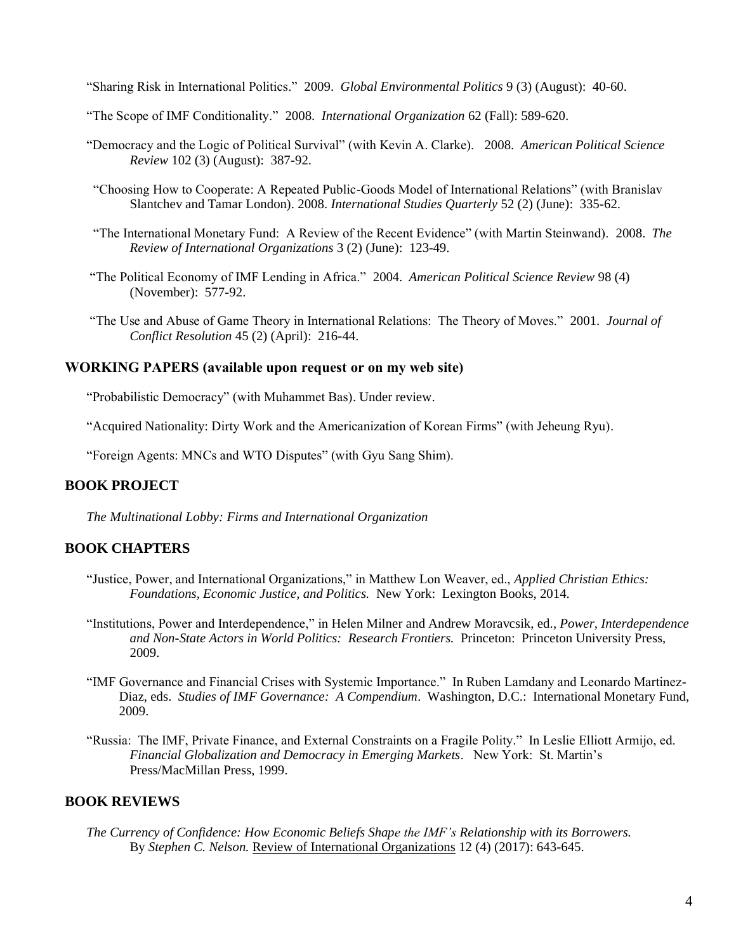"Sharing Risk in International Politics." 2009. *Global Environmental Politics* 9 (3) (August): 40-60.

- "The Scope of IMF Conditionality." 2008. *International Organization* 62 (Fall): 589-620.
- "Democracy and the Logic of Political Survival" (with Kevin A. Clarke). 2008. *American Political Science Review* 102 (3) (August): 387-92.
- "Choosing How to Cooperate: A Repeated Public-Goods Model of International Relations" (with Branislav Slantchev and Tamar London). 2008. *International Studies Quarterly* 52 (2) (June): 335-62.
- "The International Monetary Fund: A Review of the Recent Evidence" (with Martin Steinwand). 2008. *The Review of International Organizations* 3 (2) (June): 123-49.
- "The Political Economy of IMF Lending in Africa." 2004. *American Political Science Review* 98 (4) (November): 577-92.
- "The Use and Abuse of Game Theory in International Relations: The Theory of Moves." 2001. *Journal of Conflict Resolution* 45 (2) (April): 216-44.

#### **WORKING PAPERS (available upon request or on my web site)**

"Probabilistic Democracy" (with Muhammet Bas). Under review.

"Acquired Nationality: Dirty Work and the Americanization of Korean Firms" (with Jeheung Ryu).

"Foreign Agents: MNCs and WTO Disputes" (with Gyu Sang Shim).

# **BOOK PROJECT**

*The Multinational Lobby: Firms and International Organization*

# **BOOK CHAPTERS**

- "Justice, Power, and International Organizations," in Matthew Lon Weaver, ed., *Applied Christian Ethics: Foundations, Economic Justice, and Politics.* New York: Lexington Books, 2014.
- "Institutions, Power and Interdependence," in Helen Milner and Andrew Moravcsik, ed., *Power, Interdependence and Non-State Actors in World Politics: Research Frontiers.* Princeton: Princeton University Press, 2009.
- "IMF Governance and Financial Crises with Systemic Importance." In Ruben Lamdany and Leonardo Martinez-Diaz, eds. *Studies of IMF Governance: A Compendium*. Washington, D.C.: International Monetary Fund, 2009.
- "Russia: The IMF, Private Finance, and External Constraints on a Fragile Polity." In Leslie Elliott Armijo, ed. *Financial Globalization and Democracy in Emerging Markets*. New York: St. Martin's Press/MacMillan Press, 1999.

## **BOOK REVIEWS**

*The Currency of Confidence: How Economic Beliefs Shape the IMF's Relationship with its Borrowers.*  By *Stephen C. Nelson*. Review of International Organizations 12 (4) (2017): 643-645.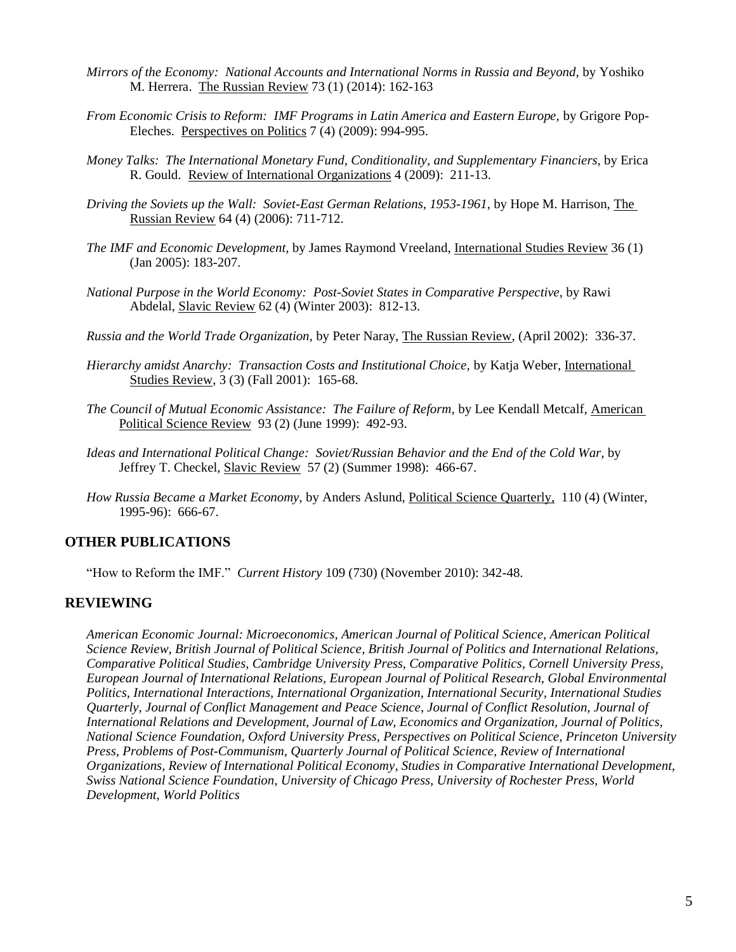- *Mirrors of the Economy: National Accounts and International Norms in Russia and Beyond,* by Yoshiko M. Herrera. The Russian Review 73 (1) (2014): 162-163
- *From Economic Crisis to Reform: IMF Programs in Latin America and Eastern Europe, by Grigore Pop-*Eleches. Perspectives on Politics 7 (4) (2009): 994-995.
- *Money Talks: The International Monetary Fund, Conditionality, and Supplementary Financiers,* by Erica R. Gould. Review of International Organizations 4 (2009): 211-13.
- *Driving the Soviets up the Wall: Soviet-East German Relations, 1953-1961,* by Hope M. Harrison, The Russian Review 64 (4) (2006): 711-712.
- *The IMF and Economic Development,* by James Raymond Vreeland, International Studies Review 36 (1) (Jan 2005): 183-207.
- *National Purpose in the World Economy: Post-Soviet States in Comparative Perspective,* by Rawi Abdelal, Slavic Review 62 (4) (Winter 2003): 812-13.
- *Russia and the World Trade Organization,* by Peter Naray, The Russian Review, (April 2002): 336-37.
- *Hierarchy amidst Anarchy: Transaction Costs and Institutional Choice,* by Katja Weber, International Studies Review, 3 (3) (Fall 2001): 165-68.
- *The Council of Mutual Economic Assistance: The Failure of Reform,* by Lee Kendall Metcalf, American Political Science Review 93 (2) (June 1999): 492-93.
- *Ideas and International Political Change: Soviet/Russian Behavior and the End of the Cold War,* by Jeffrey T. Checkel, Slavic Review 57 (2) (Summer 1998): 466-67.
- *How Russia Became a Market Economy,* by Anders Aslund, Political Science Quarterly, 110 (4) (Winter, 1995-96): 666-67.

## **OTHER PUBLICATIONS**

"How to Reform the IMF." *Current History* 109 (730) (November 2010): 342-48.

#### **REVIEWING**

*American Economic Journal: Microeconomics, American Journal of Political Science, American Political Science Review, British Journal of Political Science, British Journal of Politics and International Relations, Comparative Political Studies, Cambridge University Press, Comparative Politics, Cornell University Press, European Journal of International Relations, European Journal of Political Research, Global Environmental Politics, International Interactions, International Organization, International Security, International Studies Quarterly, Journal of Conflict Management and Peace Science, Journal of Conflict Resolution, Journal of International Relations and Development, Journal of Law, Economics and Organization, Journal of Politics, National Science Foundation, Oxford University Press, Perspectives on Political Science, Princeton University Press, Problems of Post-Communism, Quarterly Journal of Political Science, Review of International Organizations, Review of International Political Economy, Studies in Comparative International Development, Swiss National Science Foundation, University of Chicago Press, University of Rochester Press, World Development, World Politics*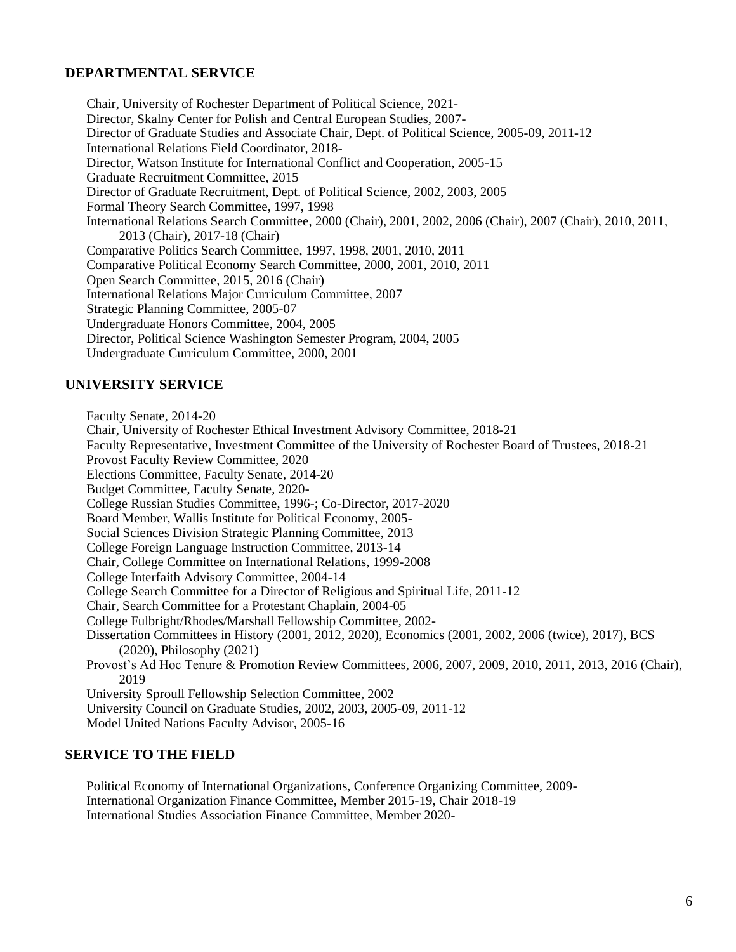# **DEPARTMENTAL SERVICE**

Chair, University of Rochester Department of Political Science, 2021- Director, Skalny Center for Polish and Central European Studies, 2007- Director of Graduate Studies and Associate Chair, Dept. of Political Science, 2005-09, 2011-12 International Relations Field Coordinator, 2018- Director, Watson Institute for International Conflict and Cooperation, 2005-15 Graduate Recruitment Committee, 2015 Director of Graduate Recruitment, Dept. of Political Science, 2002, 2003, 2005 Formal Theory Search Committee, 1997, 1998 International Relations Search Committee, 2000 (Chair), 2001, 2002, 2006 (Chair), 2007 (Chair), 2010, 2011, 2013 (Chair), 2017-18 (Chair) Comparative Politics Search Committee, 1997, 1998, 2001, 2010, 2011 Comparative Political Economy Search Committee, 2000, 2001, 2010, 2011 Open Search Committee, 2015, 2016 (Chair) International Relations Major Curriculum Committee, 2007 Strategic Planning Committee, 2005-07 Undergraduate Honors Committee, 2004, 2005 Director, Political Science Washington Semester Program, 2004, 2005 Undergraduate Curriculum Committee, 2000, 2001

## **UNIVERSITY SERVICE**

Faculty Senate, 2014-20 Chair, University of Rochester Ethical Investment Advisory Committee, 2018-21 Faculty Representative, Investment Committee of the University of Rochester Board of Trustees, 2018-21 Provost Faculty Review Committee, 2020 Elections Committee, Faculty Senate, 2014-20 Budget Committee, Faculty Senate, 2020- College Russian Studies Committee, 1996-; Co-Director, 2017-2020 Board Member, Wallis Institute for Political Economy, 2005- Social Sciences Division Strategic Planning Committee, 2013 College Foreign Language Instruction Committee, 2013-14 Chair, College Committee on International Relations, 1999-2008 College Interfaith Advisory Committee, 2004-14 College Search Committee for a Director of Religious and Spiritual Life, 2011-12 Chair, Search Committee for a Protestant Chaplain, 2004-05 College Fulbright/Rhodes/Marshall Fellowship Committee, 2002- Dissertation Committees in History (2001, 2012, 2020), Economics (2001, 2002, 2006 (twice), 2017), BCS (2020), Philosophy (2021) Provost's Ad Hoc Tenure & Promotion Review Committees, 2006, 2007, 2009, 2010, 2011, 2013, 2016 (Chair), 2019 University Sproull Fellowship Selection Committee, 2002 University Council on Graduate Studies, 2002, 2003, 2005-09, 2011-12 Model United Nations Faculty Advisor, 2005-16

#### **SERVICE TO THE FIELD**

Political Economy of International Organizations, Conference Organizing Committee, 2009- International Organization Finance Committee, Member 2015-19, Chair 2018-19 International Studies Association Finance Committee, Member 2020-